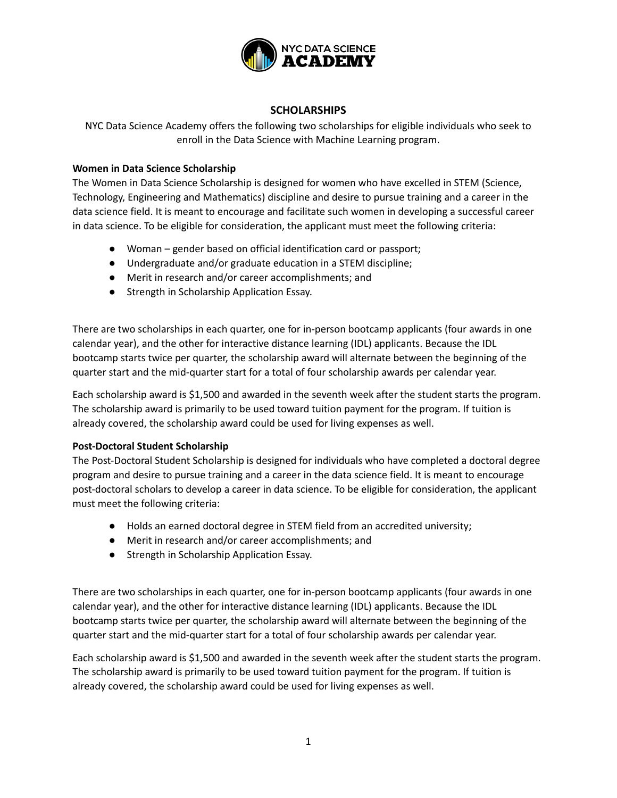

# **SCHOLARSHIPS**

NYC Data Science Academy offers the following two scholarships for eligible individuals who seek to enroll in the Data Science with Machine Learning program.

## **Women in Data Science Scholarship**

The Women in Data Science Scholarship is designed for women who have excelled in STEM (Science, Technology, Engineering and Mathematics) discipline and desire to pursue training and a career in the data science field. It is meant to encourage and facilitate such women in developing a successful career in data science. To be eligible for consideration, the applicant must meet the following criteria:

- Woman gender based on official identification card or passport;
- Undergraduate and/or graduate education in a STEM discipline;
- Merit in research and/or career accomplishments; and
- Strength in Scholarship Application Essay.

There are two scholarships in each quarter, one for in-person bootcamp applicants (four awards in one calendar year), and the other for interactive distance learning (IDL) applicants. Because the IDL bootcamp starts twice per quarter, the scholarship award will alternate between the beginning of the quarter start and the mid-quarter start for a total of four scholarship awards per calendar year.

Each scholarship award is \$1,500 and awarded in the seventh week after the student starts the program. The scholarship award is primarily to be used toward tuition payment for the program. If tuition is already covered, the scholarship award could be used for living expenses as well.

### **Post-Doctoral Student Scholarship**

The Post-Doctoral Student Scholarship is designed for individuals who have completed a doctoral degree program and desire to pursue training and a career in the data science field. It is meant to encourage post-doctoral scholars to develop a career in data science. To be eligible for consideration, the applicant must meet the following criteria:

- Holds an earned doctoral degree in STEM field from an accredited university;
- Merit in research and/or career accomplishments; and
- Strength in Scholarship Application Essay.

There are two scholarships in each quarter, one for in-person bootcamp applicants (four awards in one calendar year), and the other for interactive distance learning (IDL) applicants. Because the IDL bootcamp starts twice per quarter, the scholarship award will alternate between the beginning of the quarter start and the mid-quarter start for a total of four scholarship awards per calendar year.

Each scholarship award is \$1,500 and awarded in the seventh week after the student starts the program. The scholarship award is primarily to be used toward tuition payment for the program. If tuition is already covered, the scholarship award could be used for living expenses as well.